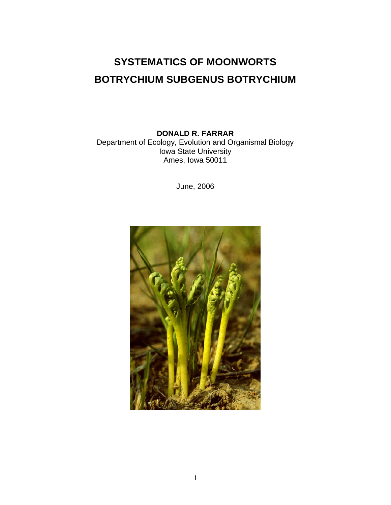# **SYSTEMATICS OF MOONWORTS BOTRYCHIUM SUBGENUS BOTRYCHIUM**

**DONALD R. FARRAR**  Department of Ecology, Evolution and Organismal Biology Iowa State University Ames, Iowa 50011

June, 2006

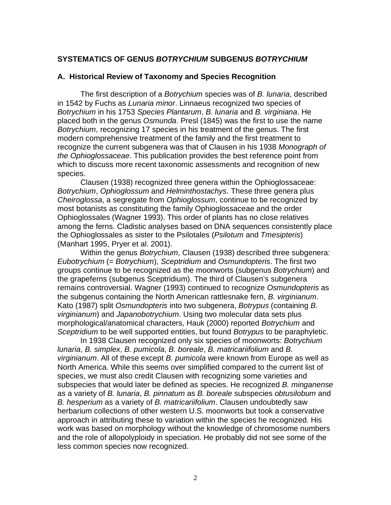### **SYSTEMATICS OF GENUS** *BOTRYCHIUM* **SUBGENUS** *BOTRYCHIUM*

### **A. Historical Review of Taxonomy and Species Recognition**

The first description of a *Botrychium* species was of *B. lunaria*, described in 1542 by Fuchs as *Lunaria minor*. Linnaeus recognized two species of *Botrychium* in his 1753 *Species Plantarum*, *B. lunaria* and *B. virginiana*. He placed both in the genus *Osmunda*. Presl (1845) was the first to use the name *Botrychium*, recognizing 17 species in his treatment of the genus. The first modern comprehensive treatment of the family and the first treatment to recognize the current subgenera was that of Clausen in his 1938 *Monograph of the Ophioglossaceae*. This publication provides the best reference point from which to discuss more recent taxonomic assessments and recognition of new species.

Clausen (1938) recognized three genera within the Ophioglossaceae: *Botrychium*, *Ophioglossum* and *Helminthostachys*. These three genera plus *Cheiroglossa*, a segregate from *Ophioglossum*, continue to be recognized by most botanists as constituting the family Ophioglossaceae and the order Ophioglossales (Wagner 1993). This order of plants has no close relatives among the ferns. Cladistic analyses based on DNA sequences consistently place the Ophioglossales as sister to the Psilotales (*Psilotum* and *Tmesipteris*) (Manhart 1995, Pryer et al. 2001).

Within the genus *Botrychium*, Clausen (1938) described three subgenera: *Eubotrychium* (= *Botrychium*), *Sceptridium* and *Osmundopteris*. The first two groups continue to be recognized as the moonworts (subgenus *Botrychium*) and the grapeferns (subgenus Sceptridium). The third of Clausen's subgenera remains controversial. Wagner (1993) continued to recognize *Osmundopteris* as the subgenus containing the North American rattlesnake fern, *B. virginianum*. Kato (1987) split *Osmundopteris* into two subgenera, *Botrypus* (containing *B. virginianum*) and *Japanobotrychium*. Using two molecular data sets plus morphological/anatomical characters, Hauk (2000) reported *Botrychium* and *Sceptridium* to be well supported entities, but found *Botrypus* to be paraphyletic.

In 1938 Clausen recognized only six species of moonworts: *Botrychium lunaria*, *B. simplex*, *B. pumicola*, *B. boreale*, *B. matricariifolium* and *B. virginianum*. All of these except *B. pumicola* were known from Europe as well as North America. While this seems over simplified compared to the current list of species, we must also credit Clausen with recognizing some varieties and subspecies that would later be defined as species. He recognized *B. minganense* as a variety of *B. lunaria*, *B. pinnatum* as *B. boreale* subspecies *obtusilobum* and *B. hesperium* as a variety of *B. matricariifolium*. Clausen undoubtedly saw herbarium collections of other western U.S. moonworts but took a conservative approach in attributing these to variation within the species he recognized. His work was based on morphology without the knowledge of chromosome numbers and the role of allopolyploidy in speciation. He probably did not see some of the less common species now recognized.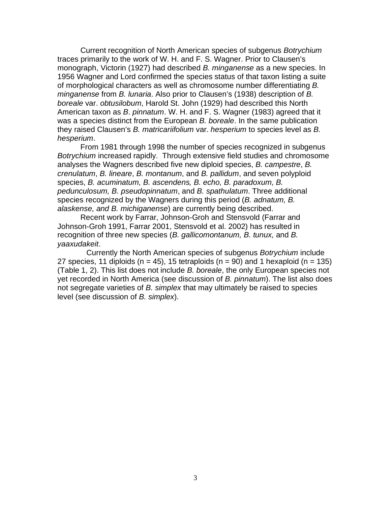Current recognition of North American species of subgenus *Botrychium* traces primarily to the work of W. H. and F. S. Wagner. Prior to Clausen's monograph, Victorin (1927) had described *B. minganense* as a new species. In 1956 Wagner and Lord confirmed the species status of that taxon listing a suite of morphological characters as well as chromosome number differentiating *B. minganense* from *B. lunaria*. Also prior to Clausen's (1938) description of *B. boreale* var. *obtusilobum*, Harold St. John (1929) had described this North American taxon as *B*. *pinnatum*. W. H. and F. S. Wagner (1983) agreed that it was a species distinct from the European *B. boreale*. In the same publication they raised Clausen's *B. matricariifolium* var. *hesperium* to species level as *B. hesperium*.

From 1981 through 1998 the number of species recognized in subgenus *Botrychium* increased rapidly. Through extensive field studies and chromosome analyses the Wagners described five new diploid species, *B. campestre*, *B. crenulatum*, *B. lineare*, *B. montanum*, and *B. pallidum*, and seven polyploid species, *B. acuminatum, B. ascendens, B. echo, B. paradoxum, B. pedunculosum, B. pseudopinnatum*, and *B. spathulatum*. Three additional species recognized by the Wagners during this period (*B. adnatum, B. alaskense, and B. michiganense*) are currently being described.

Recent work by Farrar, Johnson-Groh and Stensvold (Farrar and Johnson-Groh 1991, Farrar 2001, Stensvold et al. 2002) has resulted in recognition of three new species (*B. gallicomontanum, B. tunux,* and *B. yaaxudakeit*.

Currently the North American species of subgenus *Botrychium* include 27 species, 11 diploids ( $n = 45$ ), 15 tetraploids ( $n = 90$ ) and 1 hexaploid ( $n = 135$ ) (Table 1, 2). This list does not include *B. boreale*, the only European species not yet recorded in North America (see discussion of *B. pinnatum*). The list also does not segregate varieties of *B. simplex* that may ultimately be raised to species level (see discussion of *B. simplex*).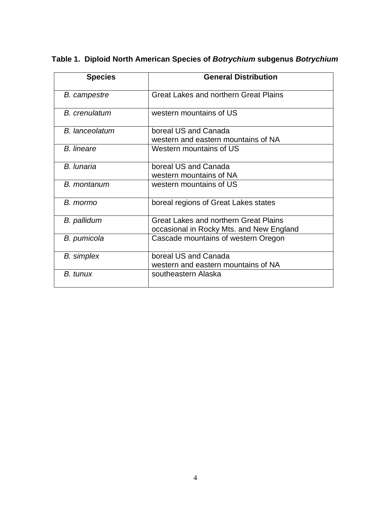| <b>Species</b>        | <b>General Distribution</b>                                                              |
|-----------------------|------------------------------------------------------------------------------------------|
| <b>B.</b> campestre   | <b>Great Lakes and northern Great Plains</b>                                             |
| <b>B.</b> crenulatum  | western mountains of US                                                                  |
| <b>B.</b> lanceolatum | boreal US and Canada<br>western and eastern mountains of NA                              |
| <b>B.</b> lineare     | Western mountains of US                                                                  |
| B. Iunaria            | boreal US and Canada<br>western mountains of NA                                          |
| <b>B.</b> montanum    | western mountains of US                                                                  |
| B. mormo              | boreal regions of Great Lakes states                                                     |
| B. pallidum           | <b>Great Lakes and northern Great Plains</b><br>occasional in Rocky Mts. and New England |
| B. pumicola           | Cascade mountains of western Oregon                                                      |
| <b>B.</b> simplex     | boreal US and Canada<br>western and eastern mountains of NA                              |
| B. tunux              | southeastern Alaska                                                                      |

**Table 1. Diploid North American Species of** *Botrychium* **subgenus** *Botrychium*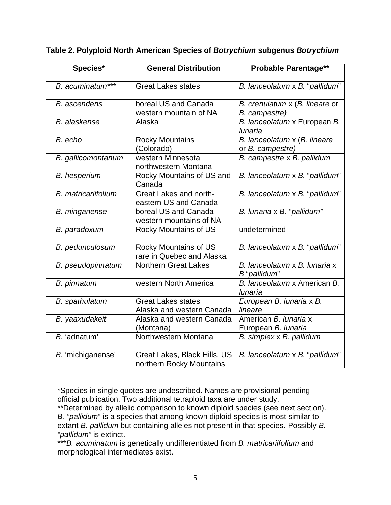| Species*                   | <b>General Distribution</b>                              | <b>Probable Parentage**</b>                      |
|----------------------------|----------------------------------------------------------|--------------------------------------------------|
| B. acuminatum***           | <b>Great Lakes states</b>                                | B. lanceolatum x B. "pallidum"                   |
| <b>B.</b> ascendens        | boreal US and Canada<br>western mountain of NA           | B. crenulatum x (B. lineare or<br>B. campestre)  |
| <b>B.</b> alaskense        | Alaska                                                   | B. lanceolatum x European B.<br>lunaria          |
| B. echo                    | <b>Rocky Mountains</b><br>(Colorado)                     | B. lanceolatum x (B. lineare<br>or B. campestre) |
| B. gallicomontanum         | western Minnesota<br>northwestern Montana                | B. campestre x B. pallidum                       |
| <b>B.</b> hesperium        | Rocky Mountains of US and<br>Canada                      | B. lanceolatum x B. "pallidum"                   |
| <b>B.</b> matricariifolium | Great Lakes and north-<br>eastern US and Canada          | B. lanceolatum x B. "pallidum"                   |
| <b>B.</b> minganense       | boreal US and Canada<br>western mountains of NA          | B. Iunaria x B. "pallidum"                       |
| B. paradoxum               | <b>Rocky Mountains of US</b>                             | undetermined                                     |
| <b>B.</b> pedunculosum     | Rocky Mountains of US<br>rare in Quebec and Alaska       | B. lanceolatum x B. "pallidum"                   |
| <b>B.</b> pseudopinnatum   | <b>Northern Great Lakes</b>                              | B. lanceolatum x B. lunaria x<br>B "pallidum"    |
| <b>B.</b> pinnatum         | western North America                                    | B. lanceolatum x American B.<br><i>Iunaria</i>   |
| <b>B.</b> spathulatum      | <b>Great Lakes states</b><br>Alaska and western Canada   | European B. Iunaria x B.<br>lineare              |
| B. yaaxudakeit             | Alaska and western Canada<br>(Montana)                   | American B. Iunaria x<br>European B. lunaria     |
| B. 'adnatum'               | Northwestern Montana                                     | B. simplex x B. pallidum                         |
| B. 'michiganense'          | Great Lakes, Black Hills, US<br>northern Rocky Mountains | B. lanceolatum x B. "pallidum"                   |

**Table 2. Polyploid North American Species of** *Botrychium* **subgenus** *Botrychium* 

\*Species in single quotes are undescribed. Names are provisional pending official publication. Two additional tetraploid taxa are under study.

\*\*Determined by allelic comparison to known diploid species (see next section). *B. "pallidum*" is a species that among known diploid species is most similar to extant *B. pallidum* but containing alleles not present in that species. Possibly *B. "pallidum"* is extinct.

\*\*\**B. acuminatum* is genetically undifferentiated from *B. matricariifolium* and morphological intermediates exist.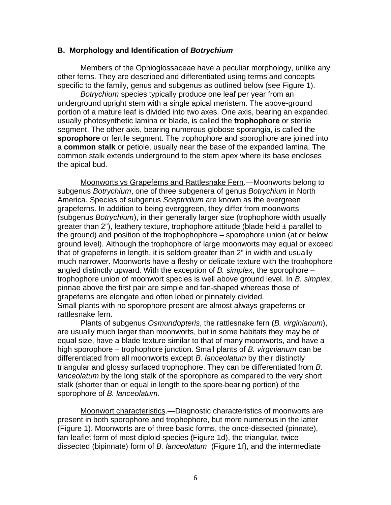### **B. Morphology and Identification of** *Botrychium*

Members of the Ophioglossaceae have a peculiar morphology, unlike any other ferns. They are described and differentiated using terms and concepts specific to the family, genus and subgenus as outlined below (see Figure 1).

*Botrychium* species typically produce one leaf per year from an underground upright stem with a single apical meristem. The above-ground portion of a mature leaf is divided into two axes. One axis, bearing an expanded, usually photosynthetic lamina or blade, is called the **trophophore** or sterile segment. The other axis, bearing numerous globose sporangia, is called the **sporophore** or fertile segment. The trophophore and sporophore are joined into a **common stalk** or petiole, usually near the base of the expanded lamina. The common stalk extends underground to the stem apex where its base encloses the apical bud.

 Moonworts vs Grapeferns and Rattlesnake Fern.—Moonworts belong to subgenus *Botrychium*, one of three subgenera of genus *Botrychium* in North America. Species of subgenus *Sceptridium* are known as the evergreen grapeferns. In addition to being everggreen, they differ from moonworts (subgenus *Botrychium*), in their generally larger size (trophophore width usually greater than 2"), leathery texture, trophophore attitude (blade held  $\pm$  parallel to the ground) and position of the trophophophore – sporophore union (at or below ground level). Although the trophophore of large moonworts may equal or exceed that of grapeferns in length, it is seldom greater than 2" in width and usually much narrower. Moonworts have a fleshy or delicate texture with the trophophore angled distinctly upward. With the exception of *B. simplex*, the sporophore – trophophore union of moonwort species is well above ground level. In *B. simplex*, pinnae above the first pair are simple and fan-shaped whereas those of grapeferns are elongate and often lobed or pinnately divided. Small plants with no sporophore present are almost always grapeferns or rattlesnake fern.

Plants of subgenus *Osmundopteris*, the rattlesnake fern (*B. virginianum*), are usually much larger than moonworts, but in some habitats they may be of equal size, have a blade texture similar to that of many moonworts, and have a high sporophore – trophophore junction. Small plants of *B. virginianum* can be differentiated from all moonworts except *B. lanceolatum* by their distinctly triangular and glossy surfaced trophophore. They can be differentiated from *B. lanceolatum* by the long stalk of the sporophore as compared to the very short stalk (shorter than or equal in length to the spore-bearing portion) of the sporophore of *B. lanceolatum*.

Moonwort characteristics.—Diagnostic characteristics of moonworts are present in both sporophore and trophophore, but more numerous in the latter (Figure 1). Moonworts are of three basic forms, the once-dissected (pinnate), fan-leaflet form of most diploid species (Figure 1d), the triangular, twicedissected (bipinnate) form of *B. lanceolatum* (Figure 1f), and the intermediate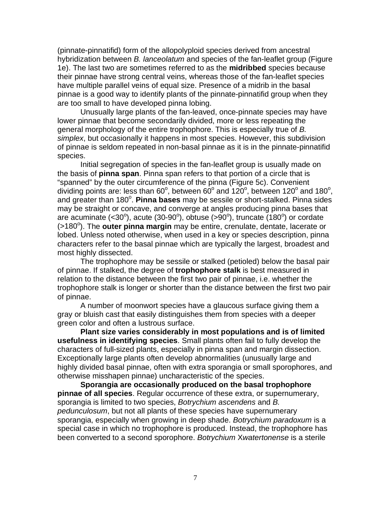(pinnate-pinnatifid) form of the allopolyploid species derived from ancestral hybridization between *B. lanceolatum* and species of the fan-leaflet group (Figure 1e). The last two are sometimes referred to as the **midribbed** species because their pinnae have strong central veins, whereas those of the fan-leaflet species have multiple parallel veins of equal size. Presence of a midrib in the basal pinnae is a good way to identify plants of the pinnate-pinnatifid group when they are too small to have developed pinna lobing.

Unusually large plants of the fan-leaved, once-pinnate species may have lower pinnae that become secondarily divided, more or less repeating the general morphology of the entire trophophore. This is especially true of *B. simplex*, but occasionally it happens in most species. However, this subdivision of pinnae is seldom repeated in non-basal pinnae as it is in the pinnate-pinnatifid species.

Initial segregation of species in the fan-leaflet group is usually made on the basis of **pinna span**. Pinna span refers to that portion of a circle that is "spanned" by the outer circumference of the pinna (Figure 5c). Convenient dividing points are: less than 60 $^{\circ}$ , between 60 $^{\circ}$  and 120 $^{\circ}$ , between 120 $^{\circ}$  and 180 $^{\circ}$ , and greater than 180°. Pinna bases may be sessile or short-stalked. Pinna sides may be straight or concave, and converge at angles producing pinna bases that are acuminate (<30 $^{\circ}$ ), acute (30-90 $^{\circ}$ ), obtuse (>90 $^{\circ}$ ), truncate (180 $^{\circ}$ ) or cordate (>180°). The **outer pinna margin** may be entire, crenulate, dentate, lacerate or lobed. Unless noted otherwise, when used in a key or species description, pinna characters refer to the basal pinnae which are typically the largest, broadest and most highly dissected.

The trophophore may be sessile or stalked (petioled) below the basal pair of pinnae. If stalked, the degree of **trophophore stalk** is best measured in relation to the distance between the first two pair of pinnae, i.e. whether the trophophore stalk is longer or shorter than the distance between the first two pair of pinnae.

A number of moonwort species have a glaucous surface giving them a gray or bluish cast that easily distinguishes them from species with a deeper green color and often a lustrous surface.

**Plant size varies considerably in most populations and is of limited usefulness in identifying species**. Small plants often fail to fully develop the characters of full-sized plants, especially in pinna span and margin dissection. Exceptionally large plants often develop abnormalities (unusually large and highly divided basal pinnae, often with extra sporangia or small sporophores, and otherwise misshapen pinnae) uncharacteristic of the species.

**Sporangia are occasionally produced on the basal trophophore pinnae of all species**. Regular occurrence of these extra, or supernumerary, sporangia is limited to two species, *Botrychium ascendens* and *B. pedunculosum*, but not all plants of these species have supernumerary sporangia, especially when growing in deep shade. *Botrychium paradoxum* is a special case in which no trophophore is produced. Instead, the trophophore has been converted to a second sporophore. *Botrychium* X*watertonense* is a sterile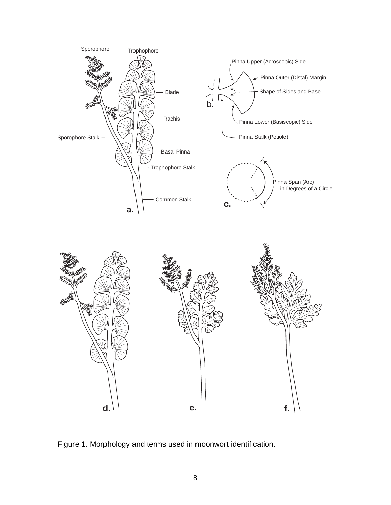

Figure 1. Morphology and terms used in moonwort identification.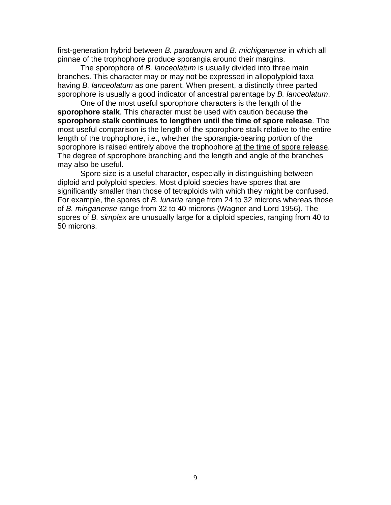first-generation hybrid between *B. paradoxum* and *B. michiganense* in which all pinnae of the trophophore produce sporangia around their margins.

The sporophore of *B. lanceolatum* is usually divided into three main branches. This character may or may not be expressed in allopolyploid taxa having *B. lanceolatum* as one parent. When present, a distinctly three parted sporophore is usually a good indicator of ancestral parentage by *B. lanceolatum*.

One of the most useful sporophore characters is the length of the **sporophore stalk**. This character must be used with caution because **the sporophore stalk continues to lengthen until the time of spore release**. The most useful comparison is the length of the sporophore stalk relative to the entire length of the trophophore, i.e., whether the sporangia-bearing portion of the sporophore is raised entirely above the trophophore at the time of spore release. The degree of sporophore branching and the length and angle of the branches may also be useful.

Spore size is a useful character, especially in distinguishing between diploid and polyploid species. Most diploid species have spores that are significantly smaller than those of tetraploids with which they might be confused. For example, the spores of *B. lunaria* range from 24 to 32 microns whereas those of *B. minganense* range from 32 to 40 microns (Wagner and Lord 1956). The spores of *B. simplex* are unusually large for a diploid species, ranging from 40 to 50 microns.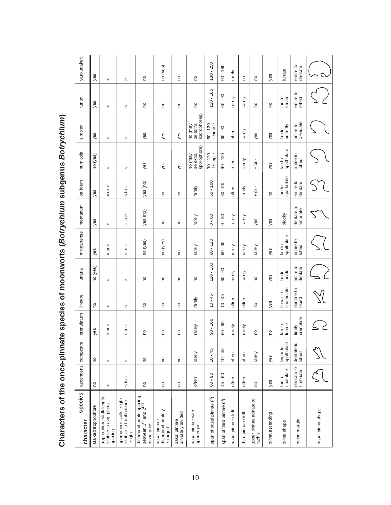| species<br>character                                                                   |                         | ascendens campestre     | crenulatum          | lineare                 | lunaria              | minganense             | montanum                | pallidum                         | pumicola                           | simplex                             | tunux              | yaaxudakeit          |
|----------------------------------------------------------------------------------------|-------------------------|-------------------------|---------------------|-------------------------|----------------------|------------------------|-------------------------|----------------------------------|------------------------------------|-------------------------------------|--------------------|----------------------|
| stalked trophophore                                                                    | <b>PO</b>               | <b>DO</b>               | yes                 | <b>DO</b>               | no (yes)             | yes                    | yes                     | yes                              | no (yes)                           | yes                                 | yes                | yes                  |
| trophophore stalk length<br>relative to avg. pinna<br>spacing                          | V                       | V                       | ٨<br>ŏ<br>V         | V                       | V                    | ٨<br>ŏ<br>$\mathbf{I}$ | Λ                       | Λ<br>ŏ<br>Ш                      | $\mathsf{V}$                       | Λ                                   | V                  | v                    |
| sporophore stalk length<br>relative to trophophore<br>length                           | $10 =$                  | V                       | Ш<br>$\frac{1}{2}$  | V                       | ٨                    | $10 =$                 | ٨<br>S,<br>Ш            | Ш<br>S,<br>V                     | V                                  | ٨                                   | V                  | ٨                    |
| disproportionate spacing<br>between 1 <sup>st</sup> and 2 <sup>nd</sup><br>pinna pairs | S                       | <b>DU</b>               | S                   | <b>DO</b>               | S                    | no (yes)               | yes (no)                | yes (no)                         | yes                                | yes                                 | co                 | <b>DU</b>            |
| disproportionately<br>basal pinnae<br>enlarged                                         | œ                       | <b>DU</b>               | S                   | <b>DO</b>               | <b>DU</b>            | les) or                | <b>DU</b>               | S                                | yes                                | yes                                 | co                 | no (yes)             |
| basal pinnae<br>pinnately divided                                                      | g                       | 0u                      | S                   | g                       | S                    | <b>DO</b>              | S                       | g                                | yes                                | yes                                 | 0u                 | $\epsilon$           |
| basal pinnae with<br>sporangia                                                         | often                   | rarely                  | rarely              | rarely                  | œ                    | $r$ arely              | rarely                  | rarely                           | sporophore)<br>no (may<br>be extra | no (may<br>be extra<br>sporophores) | ou                 | <b>DU</b>            |
| span of basal pinnae ( <sup>0</sup> )                                                  | $60 - 90$               | $10 - 45$               | $90 - 160$          | $10 - 45$               | $120 - 180$          | $60 - 120$             | $0 - 60$                | $60 - 100$                       | $90 - 120$<br>if simple            | 60 - 120<br>if simple               | $120 - 180$        | 180 - 250            |
| span of third pinnae ( <sup>O</sup> )                                                  | 45 - 60                 | $10 - 45$               | $60 - 90$           | $10 - 45$               | $60 - 90$            | $60 - 90$              | $0 - 30$                | $60 - 90$                        | $90 - 120$                         | $60 - 90$                           | $60 - 90$          | $90 - 180$           |
| basal pinnae cleft                                                                     | often                   | often                   | $r$ arely           | often                   | rarely               | $r$ arely              | rarely                  | often                            | often                              | often                               | rarely             | rarely               |
| third pinnae cleft                                                                     | often                   | often                   | rarely              | often                   | rarely               | rarely                 | rarely                  | rarely                           | rarely                             | rarely                              | rarely             | $\overline{c}$       |
| upper pinnae adnate to<br>rachis                                                       | g                       | rarely                  | S                   | g                       | g                    | rarely                 | yes                     | $\blacksquare$<br>ŏ<br>$\ddot{}$ | $\frac{5}{4}$                      | yes                                 | 0u                 | 0u                   |
| pinna ascending                                                                        | yes                     | yes                     | S                   | yes                     | yes                  | yes                    | yes                     | S                                | yes                                | yes                                 | 0u                 | yes                  |
| pinna shape                                                                            | spatulate<br>fan to     | spathulate<br>linear to | lunate<br>fan to    | linear to<br>spathulate | fan to<br>Iunate     | spathulate<br>fan to   | blocky                  | spathulate<br>fan to             | spathulate<br>fan to               | fan to<br>butterfly                 | fan to<br>Iunate   | lunate               |
| pinna margin                                                                           | dentate to<br>fimbriate | dentate to<br>lobed     | crenulate<br>finely | dentate to<br>lobed     | entire to<br>dentate | entire to<br>lobed     | dentate to<br>fimbriate | entire to<br>dentate             | entire to<br>lobed                 | crenulate<br>entire to              | entire to<br>lobed | entire to<br>dentate |
| basal pinna shape                                                                      |                         |                         | くど                  |                         |                      |                        |                         |                                  |                                    |                                     |                    |                      |

# Characters of the once-pinnate species of moonworts (Botrychium subgenus Botrychium) **Characters of the once-pinnate species of moonworts (***Botrychium* **subgenus** *Botrychium***)**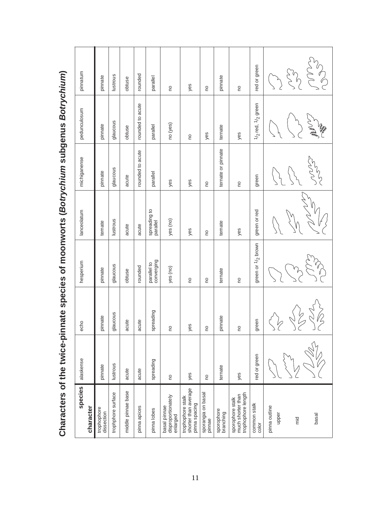| species<br>character                                        | alaskense    | echo      | hesperium                 | lanceolatum              | michiganense       | pedunculosum           | pinnatum     |
|-------------------------------------------------------------|--------------|-----------|---------------------------|--------------------------|--------------------|------------------------|--------------|
| trophophore<br>dissection                                   | pinnate      | pinnate   | pinnate                   | ternate                  | pinnate            | pinnate                | pinnate      |
| trophphore surface                                          | lustrous     | glaucous  | glaucous                  | lustrous                 | glaucous           | glaucous               | lustrous     |
| middle pinnae base                                          | acute        | acute     | obtuse                    | acute                    | acute              | obtuse                 | obtuse       |
| pinna apices                                                | acute        | acute     | rounded                   | acute                    | rounded to acute   | rounded to acute       | rounded      |
| pinna lobes                                                 | spreading    | spreading | parallel to<br>converging | spreading to<br>parallel | parallel           | parallel               | parallel     |
| disproportionately<br>basal pinnae<br>enlarged              | OU           | <b>DU</b> | yes (no)                  | yes (no)                 | yes                | no (yes)               | <b>PO</b>    |
| shorter than average<br>trophophore stalk<br>pinna spacing  | yes          | yes       | po                        | yes                      | yes                | po                     | yes          |
| sporangia on basal<br>pinnae                                | <b>DU</b>    | <b>DU</b> | œ                         | œ                        | S                  | yes                    | œ            |
| sporophore<br>branching                                     | ternate      | pinnate   | ternate                   | ternate                  | ternate or pinnate | ternate                | pinnate      |
| trophophore length<br>much shorter than<br>sporophore stalk | yes          | <b>DO</b> | po                        | yes                      | <b>PO</b>          | yes                    | <b>PO</b>    |
| common stalk<br>color                                       | red or green | green     | green or $1/2$ brown      | green or red             | green              | $1/2$ red, $1/2$ green | red or green |
| pinna outline<br>upper<br>mid                               |              |           |                           |                          |                    |                        |              |
| basal                                                       |              |           | $\sum_{i=1}^{n}$          |                          |                    | <b>Negle</b>           |              |

Characters of the twice-pinnate species of moonworts (Botrychium subgenus Botrychium) **Characters of the twice-pinnate species of moonworts (***Botrychium* **subgenus** *Botrychium***)**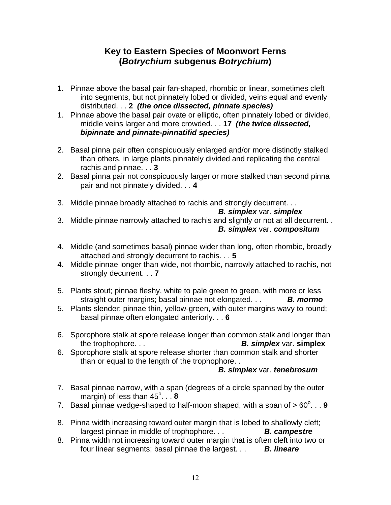# **Key to Eastern Species of Moonwort Ferns (***Botrychium* **subgenus** *Botrychium***)**

- 1. Pinnae above the basal pair fan-shaped, rhombic or linear, sometimes cleft into segments, but not pinnately lobed or divided, veins equal and evenly distributed. . . **2** *(the once dissected, pinnate species)*
- 1. Pinnae above the basal pair ovate or elliptic, often pinnately lobed or divided, middle veins larger and more crowded. . . **17** *(the twice dissected, bipinnate and pinnate-pinnatifid species)*
- 2. Basal pinna pair often conspicuously enlarged and/or more distinctly stalked than others, in large plants pinnately divided and replicating the central rachis and pinnae. . . **3**
- 2. Basal pinna pair not conspicuously larger or more stalked than second pinna pair and not pinnately divided. . . **4**
- 3. Middle pinnae broadly attached to rachis and strongly decurrent. . .

### *B. simplex* var. *simplex*

- 3. Middle pinnae narrowly attached to rachis and slightly or not at all decurrent. . *B. simplex* var. *compositum*
- 4. Middle (and sometimes basal) pinnae wider than long, often rhombic, broadly attached and strongly decurrent to rachis. . . **5**
- 4. Middle pinnae longer than wide, not rhombic, narrowly attached to rachis, not strongly decurrent. . . **7**
- 5. Plants stout; pinnae fleshy, white to pale green to green, with more or less straight outer margins; basal pinnae not elongated. . . *B. mormo*
- 5. Plants slender; pinnae thin, yellow-green, with outer margins wavy to round; basal pinnae often elongated anteriorly. . . **6**
- 6. Sporophore stalk at spore release longer than common stalk and longer than the trophophore. . . *B. simplex* var. **simplex**
- 6. Sporophore stalk at spore release shorter than common stalk and shorter than or equal to the length of the trophophore. .

### *B. simplex* var. *tenebrosum*

- 7. Basal pinnae narrow, with a span (degrees of a circle spanned by the outer margin) of less than 45°. . . 8
- 7. Basal pinnae wedge-shaped to half-moon shaped, with a span of  $> 60^\circ$ ... **9**
- 8. Pinna width increasing toward outer margin that is lobed to shallowly cleft; largest pinnae in middle of trophophore. . . *B. campestre*
- 8. Pinna width not increasing toward outer margin that is often cleft into two or four linear segments; basal pinnae the largest. . . *B. lineare*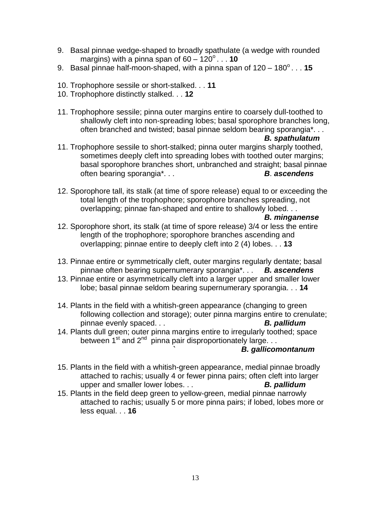- 9. Basal pinnae wedge-shaped to broadly spathulate (a wedge with rounded margins) with a pinna span of  $60 - 120^\circ$ ... **10**
- 9. Basal pinnae half-moon-shaped, with a pinna span of  $120 180^\circ$ ... **15**
- 10. Trophophore sessile or short-stalked. . . **11**
- 10. Trophophore distinctly stalked. . . **12**
- 11. Trophophore sessile; pinna outer margins entire to coarsely dull-toothed to shallowly cleft into non-spreading lobes; basal sporophore branches long, often branched and twisted; basal pinnae seldom bearing sporangia\*. . .

*B. spathulatum*

- 11. Trophophore sessile to short-stalked; pinna outer margins sharply toothed, sometimes deeply cleft into spreading lobes with toothed outer margins; basal sporophore branches short, unbranched and straight; basal pinnae often bearing sporangia\*. . . *B*. *ascendens*
- 12. Sporophore tall, its stalk (at time of spore release) equal to or exceeding the total length of the trophophore; sporophore branches spreading, not overlapping; pinnae fan-shaped and entire to shallowly lobed. . .

*B. minganense*

- 12. Sporophore short, its stalk (at time of spore release) 3/4 or less the entire length of the trophophore; sporophore branches ascending and overlapping; pinnae entire to deeply cleft into 2 (4) lobes. . . **13**
- 13. Pinnae entire or symmetrically cleft, outer margins regularly dentate; basal pinnae often bearing supernumerary sporangia\*. . . *B. ascendens*
- 13. Pinnae entire or asymmetrically cleft into a larger upper and smaller lower lobe; basal pinnae seldom bearing supernumerary sporangia. . . **14**
- 14. Plants in the field with a whitish-green appearance (changing to green following collection and storage); outer pinna margins entire to crenulate; pinnae evenly spaced. . . **B. pallidum**
- 14. Plants dull green; outer pinna margins entire to irregularly toothed; space between  $1^{st}$  and  $2^{nd}$  pinna pair disproportionately large. . .

### *` B. gallicomontanum*

- 15. Plants in the field with a whitish-green appearance, medial pinnae broadly attached to rachis; usually 4 or fewer pinna pairs; often cleft into larger upper and smaller lower lobes. . . **B. pallidum**
- 15. Plants in the field deep green to yellow-green, medial pinnae narrowly attached to rachis; usually 5 or more pinna pairs; if lobed, lobes more or less equal. . . **16**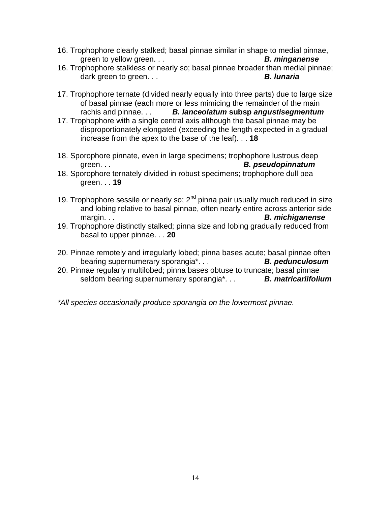- 16. Trophophore clearly stalked; basal pinnae similar in shape to medial pinnae, green to yellow green. . . **B. minganense**
- 16. Trophophore stalkless or nearly so; basal pinnae broader than medial pinnae; dark green to green. . . **B. lunaria**
- 17. Trophophore ternate (divided nearly equally into three parts) due to large size of basal pinnae (each more or less mimicing the remainder of the main rachis and pinnae. . . *B. lanceolatum* **subsp** *angustisegmentum*
- 17. Trophophore with a single central axis although the basal pinnae may be disproportionately elongated (exceeding the length expected in a gradual increase from the apex to the base of the leaf). . . **18**
- 18. Sporophore pinnate, even in large specimens; trophophore lustrous deep green. . . *B. pseudopinnatum*
- 18. Sporophore ternately divided in robust specimens; trophophore dull pea green. . . **19**
- 19. Trophophore sessile or nearly so;  $2^{nd}$  pinna pair usually much reduced in size and lobing relative to basal pinnae, often nearly entire across anterior side margin. . . *B. michiganense*
- 19. Trophophore distinctly stalked; pinna size and lobing gradually reduced from basal to upper pinnae. . . **20**
- 20. Pinnae remotely and irregularly lobed; pinna bases acute; basal pinnae often bearing supernumerary sporangia\*. . . *B. pedunculosum*
- 20. Pinnae regularly multilobed; pinna bases obtuse to truncate; basal pinnae seldom bearing supernumerary sporangia\*. . . *B. matricariifolium*

*\*All species occasionally produce sporangia on the lowermost pinnae.*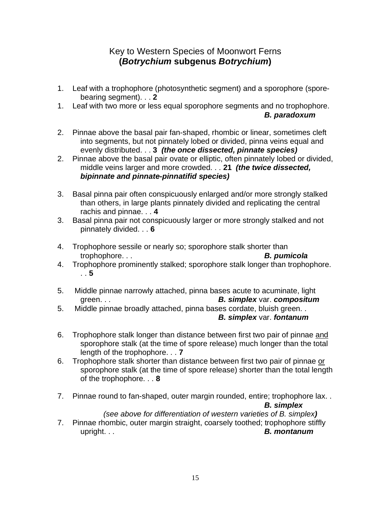# Key to Western Species of Moonwort Ferns **(***Botrychium* **subgenus** *Botrychium***)**

- 1. Leaf with a trophophore (photosynthetic segment) and a sporophore (sporebearing segment). . . **2**
- 1. Leaf with two more or less equal sporophore segments and no trophophore. *B. paradoxum*
- 2. Pinnae above the basal pair fan-shaped, rhombic or linear, sometimes cleft into segments, but not pinnately lobed or divided, pinna veins equal and evenly distributed. . . **3** *(the once dissected, pinnate species)*
- 2. Pinnae above the basal pair ovate or elliptic, often pinnately lobed or divided, middle veins larger and more crowded. . . **21** *(the twice dissected, bipinnate and pinnate-pinnatifid species)*
- 3. Basal pinna pair often conspicuously enlarged and/or more strongly stalked than others, in large plants pinnately divided and replicating the central rachis and pinnae. . . **4**
- 3. Basal pinna pair not conspicuously larger or more strongly stalked and not pinnately divided. . . **6**
- 4. Trophophore sessile or nearly so; sporophore stalk shorter than trophophore. . . *B. pumicola*
- 4. Trophophore prominently stalked; sporophore stalk longer than trophophore. . . **5**
- 5. Middle pinnae narrowly attached, pinna bases acute to acuminate, light green. . . *B. simplex* var. *compositum*
- 5. Middle pinnae broadly attached, pinna bases cordate, bluish green. . *B. simplex* var. *fontanum*
- 6. Trophophore stalk longer than distance between first two pair of pinnae and sporophore stalk (at the time of spore release) much longer than the total length of the trophophore. . . **7**
- 6. Trophophore stalk shorter than distance between first two pair of pinnae or sporophore stalk (at the time of spore release) shorter than the total length of the trophophore. . . **8**
- 7. Pinnae round to fan-shaped, outer margin rounded, entire; trophophore lax. . *B. simplex*

 *(see above for differentiation of western varieties of B. simplex)*

7. Pinnae rhombic, outer margin straight, coarsely toothed; trophophore stiffly upright. . . *B. montanum*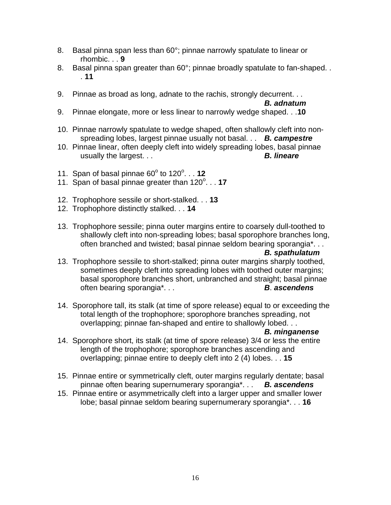- 8. Basal pinna span less than 60°; pinnae narrowly spatulate to linear or rhombic. . . **9**
- 8. Basal pinna span greater than 60°; pinnae broadly spatulate to fan-shaped. . . **11**
- 9. Pinnae as broad as long, adnate to the rachis, strongly decurrent. . .

*B. adnatum*

- 9. Pinnae elongate, more or less linear to narrowly wedge shaped. . .**10**
- 10. Pinnae narrowly spatulate to wedge shaped, often shallowly cleft into nonspreading lobes, largest pinnae usually not basal. . . *B. campestre*
- 10. Pinnae linear, often deeply cleft into widely spreading lobes, basal pinnae usually the largest. . . *B. lineare*
- 11. Span of basal pinnae  $60^{\circ}$  to  $120^{\circ}$ ... **12**
- 11. Span of basal pinnae greater than 120°. . . 17
- 12. Trophophore sessile or short-stalked. . . **13**
- 12. Trophophore distinctly stalked. . . **14**
- 13. Trophophore sessile; pinna outer margins entire to coarsely dull-toothed to shallowly cleft into non-spreading lobes; basal sporophore branches long, often branched and twisted; basal pinnae seldom bearing sporangia\*. . .

### *B. spathulatum*

- 13. Trophophore sessile to short-stalked; pinna outer margins sharply toothed, sometimes deeply cleft into spreading lobes with toothed outer margins; basal sporophore branches short, unbranched and straight; basal pinnae often bearing sporangia\*. . . *B*. *ascendens*
- 14. Sporophore tall, its stalk (at time of spore release) equal to or exceeding the total length of the trophophore; sporophore branches spreading, not overlapping; pinnae fan-shaped and entire to shallowly lobed. . .

### *B. minganense*

- 14. Sporophore short, its stalk (at time of spore release) 3/4 or less the entire length of the trophophore; sporophore branches ascending and overlapping; pinnae entire to deeply cleft into 2 (4) lobes. . . **15**
- 15. Pinnae entire or symmetrically cleft, outer margins regularly dentate; basal pinnae often bearing supernumerary sporangia\*. . . *B. ascendens*
- 15. Pinnae entire or asymmetrically cleft into a larger upper and smaller lower lobe; basal pinnae seldom bearing supernumerary sporangia\*. . . **16**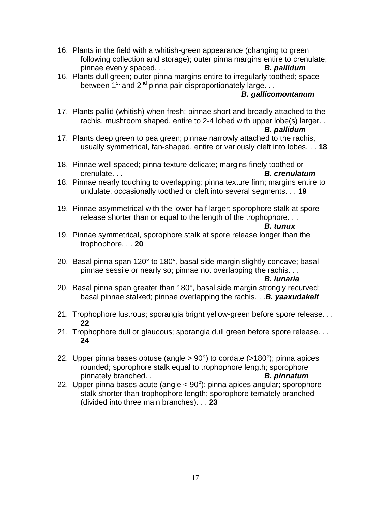- 16. Plants in the field with a whitish-green appearance (changing to green following collection and storage); outer pinna margins entire to crenulate; pinnae evenly spaced. . . **B. pallidum**
- 16. Plants dull green; outer pinna margins entire to irregularly toothed; space between  $1^{st}$  and  $2^{nd}$  pinna pair disproportionately large.  $\dots$

### *B. gallicomontanum*

17. Plants pallid (whitish) when fresh; pinnae short and broadly attached to the rachis, mushroom shaped, entire to 2-4 lobed with upper lobe(s) larger. .

### *B. pallidum*

- 17. Plants deep green to pea green; pinnae narrowly attached to the rachis, usually symmetrical, fan-shaped, entire or variously cleft into lobes. . . **18**
- 18. Pinnae well spaced; pinna texture delicate; margins finely toothed or crenulate. . . *B. crenulatum*
- 18. Pinnae nearly touching to overlapping; pinna texture firm; margins entire to undulate, occasionally toothed or cleft into several segments. . . **19**
- 19. Pinnae asymmetrical with the lower half larger; sporophore stalk at spore release shorter than or equal to the length of the trophophore. . .

### *B. tunux*

- 19. Pinnae symmetrical, sporophore stalk at spore release longer than the trophophore. . . **20**
- 20. Basal pinna span 120° to 180°, basal side margin slightly concave; basal pinnae sessile or nearly so; pinnae not overlapping the rachis. . .

### *B. lunaria*

- 20. Basal pinna span greater than 180°, basal side margin strongly recurved; basal pinnae stalked; pinnae overlapping the rachis. . .*B. yaaxudakeit*
- 21. Trophophore lustrous; sporangia bright yellow-green before spore release. . . **22**
- 21. Trophophore dull or glaucous; sporangia dull green before spore release. . . **24**
- 22. Upper pinna bases obtuse (angle  $> 90^{\circ}$ ) to cordate ( $> 180^{\circ}$ ); pinna apices rounded; sporophore stalk equal to trophophore length; sporophore pinnately branched. . *B. pinnatum*
- 22. Upper pinna bases acute (angle <  $90^{\circ}$ ); pinna apices angular; sporophore stalk shorter than trophophore length; sporophore ternately branched (divided into three main branches). . . **23**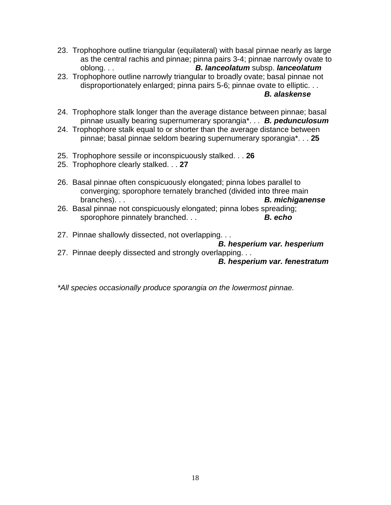- 23. Trophophore outline triangular (equilateral) with basal pinnae nearly as large as the central rachis and pinnae; pinna pairs 3-4; pinnae narrowly ovate to oblong. . . *B. lanceolatum* subsp. *lanceolatum*
- 23. Trophophore outline narrowly triangular to broadly ovate; basal pinnae not disproportionately enlarged; pinna pairs 5-6; pinnae ovate to elliptic. . . *B. alaskense*
- 24. Trophophore stalk longer than the average distance between pinnae; basal pinnae usually bearing supernumerary sporangia\*. . *. B. pedunculosum*
- 24. Trophophore stalk equal to or shorter than the average distance between pinnae; basal pinnae seldom bearing supernumerary sporangia\*. . . **25**
- 25. Trophophore sessile or inconspicuously stalked. . . **26**
- 25. Trophophore clearly stalked. . . **27**
- 26. Basal pinnae often conspicuously elongated; pinna lobes parallel to converging; sporophore ternately branched (divided into three main branches). . . *B. michiganense*
- 26. Basal pinnae not conspicuously elongated; pinna lobes spreading; sporophore pinnately branched. . . **B. echo**
- 27. Pinnae shallowly dissected, not overlapping. . .

*B. hesperium var. hesperium*

27. Pinnae deeply dissected and strongly overlapping. . .

*B. hesperium var. fenestratum* 

*\*All species occasionally produce sporangia on the lowermost pinnae.*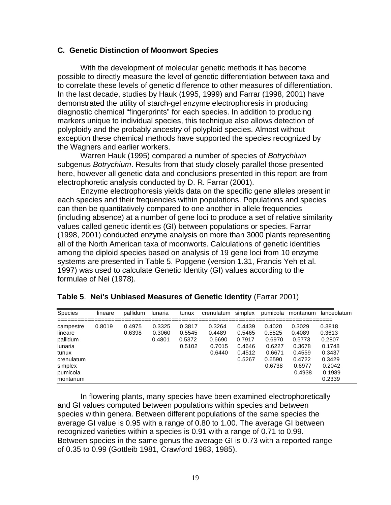### **C***.* **Genetic Distinction of Moonwort Species**

With the development of molecular genetic methods it has become possible to directly measure the level of genetic differentiation between taxa and to correlate these levels of genetic difference to other measures of differentiation. In the last decade, studies by Hauk (1995, 1999) and Farrar (1998, 2001) have demonstrated the utility of starch-gel enzyme electrophoresis in producing diagnostic chemical "fingerprints" for each species. In addition to producing markers unique to individual species, this technique also allows detection of polyploidy and the probably ancestry of polyploid species. Almost without exception these chemical methods have supported the species recognized by the Wagners and earlier workers.

 Warren Hauk (1995) compared a number of species of *Botrychium* subgenus *Botrychium*. Results from that study closely parallel those presented here, however all genetic data and conclusions presented in this report are from electrophoretic analysis conducted by D. R. Farrar (2001).

Enzyme electrophoresis yields data on the specific gene alleles present in each species and their frequencies within populations. Populations and species can then be quantitatively compared to one another in allele frequencies (including absence) at a number of gene loci to produce a set of relative similarity values called genetic identities (GI) between populations or species. Farrar (1998, 2001) conducted enzyme analysis on more than 3000 plants representing all of the North American taxa of moonworts. Calculations of genetic identities among the diploid species based on analysis of 19 gene loci from 10 enzyme systems are presented in Table 5. Popgene (version 1.31, Francis Yeh et al. 1997) was used to calculate Genetic Identity (GI) values according to the formulae of Nei (1978).

| <b>Species</b>                                                                                        | lineare | pallidum         | lunaria                    | tunux                                | crenulatum                                     | simplex                                                  | pumicola                                                           | montanum                                                                     | lanceolatum                                                                            |
|-------------------------------------------------------------------------------------------------------|---------|------------------|----------------------------|--------------------------------------|------------------------------------------------|----------------------------------------------------------|--------------------------------------------------------------------|------------------------------------------------------------------------------|----------------------------------------------------------------------------------------|
| campestre<br>lineare<br>pallidum<br>lunaria<br>tunux<br>crenulatum<br>simplex<br>pumicola<br>montanum | 0.8019  | 0.4975<br>0.6398 | 0.3325<br>0.3060<br>0.4801 | 0.3817<br>0.5545<br>0.5372<br>0.5102 | 0.3264<br>0.4489<br>0.6690<br>0.7015<br>0.6440 | 0.4439<br>0.5465<br>0.7917<br>0.4646<br>0.4512<br>0.5267 | 0.4020<br>0.5525<br>0.6970<br>0.6227<br>0.6671<br>0.6590<br>0.6738 | 0.3029<br>0.4089<br>0.5773<br>0.3678<br>0.4559<br>0.4722<br>0.6977<br>0.4938 | 0.3818<br>0.3613<br>0.2807<br>0.1748<br>0.3437<br>0.3429<br>0.2042<br>0.1989<br>0.2339 |

| Table 5. Nei's Unbiased Measures of Genetic Identity (Farrar 2001) |  |
|--------------------------------------------------------------------|--|
|--------------------------------------------------------------------|--|

In flowering plants, many species have been examined electrophoretically and GI values computed between populations within species and between species within genera. Between different populations of the same species the average GI value is 0.95 with a range of 0.80 to 1.00. The average GI between recognized varieties within a species is 0.91 with a range of 0.71 to 0.99. Between species in the same genus the average GI is 0.73 with a reported range of 0.35 to 0.99 (Gottleib 1981, Crawford 1983, 1985).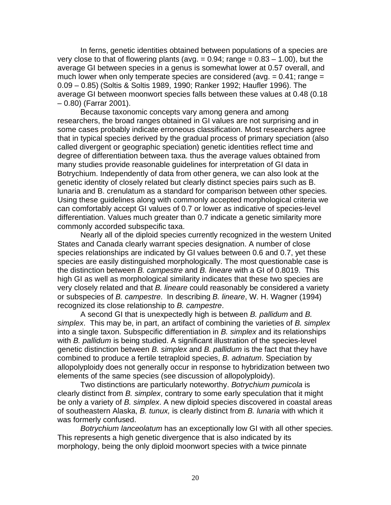In ferns, genetic identities obtained between populations of a species are very close to that of flowering plants (avg.  $= 0.94$ ; range  $= 0.83 - 1.00$ ), but the average GI between species in a genus is somewhat lower at 0.57 overall, and much lower when only temperate species are considered (avg.  $= 0.41$ ; range  $=$ 0.09 – 0.85) (Soltis & Soltis 1989, 1990; Ranker 1992; Haufler 1996). The average GI between moonwort species falls between these values at 0.48 (0.18 – 0.80) (Farrar 2001).

Because taxonomic concepts vary among genera and among researchers, the broad ranges obtained in GI values are not surprising and in some cases probably indicate erroneous classification. Most researchers agree that in typical species derived by the gradual process of primary speciation (also called divergent or geographic speciation) genetic identities reflect time and degree of differentiation between taxa. thus the average values obtained from many studies provide reasonable guidelines for interpretation of GI data in Botrychium. Independently of data from other genera, we can also look at the genetic identity of closely related but clearly distinct species pairs such as B. lunaria and B. crenulatum as a standard for comparison between other species. Using these guidelines along with commonly accepted morphological criteria we can comfortably accept GI values of 0.7 or lower as indicative of species-level differentiation. Values much greater than 0.7 indicate a genetic similarity more commonly accorded subspecific taxa.

Nearly all of the diploid species currently recognized in the western United States and Canada clearly warrant species designation. A number of close species relationships are indicated by GI values between 0.6 and 0.7, yet these species are easily distinguished morphologically. The most questionable case is the distinction between *B. campestre* and *B. lineare* with a GI of 0.8019. This high GI as well as morphological similarity indicates that these two species are very closely related and that *B. lineare* could reasonably be considered a variety or subspecies of *B. campestre*. In describing *B. lineare*, W. H. Wagner (1994) recognized its close relationship to *B. campestre*.

A second GI that is unexpectedly high is between *B. pallidum* and *B. simplex*. This may be, in part, an artifact of combining the varieties of *B. simplex* into a single taxon. Subspecific differentiation in *B. simplex* and its relationships with *B. pallidum* is being studied. A significant illustration of the species-level genetic distinction between *B. simplex* and *B. pallidum* is the fact that they have combined to produce a fertile tetraploid species, *B. adnatum*. Speciation by allopolyploidy does not generally occur in response to hybridization between two elements of the same species (see discussion of allopolyploidy).

Two distinctions are particularly noteworthy. *Botrychium pumicola* is clearly distinct from *B. simplex*, contrary to some early speculation that it might be only a variety of *B. simplex*. A new diploid species discovered in coastal areas of southeastern Alaska, *B. tunux,* is clearly distinct from *B. lunaria* with which it was formerly confused.

*Botrychium lanceolatum* has an exceptionally low GI with all other species. This represents a high genetic divergence that is also indicated by its morphology, being the only diploid moonwort species with a twice pinnate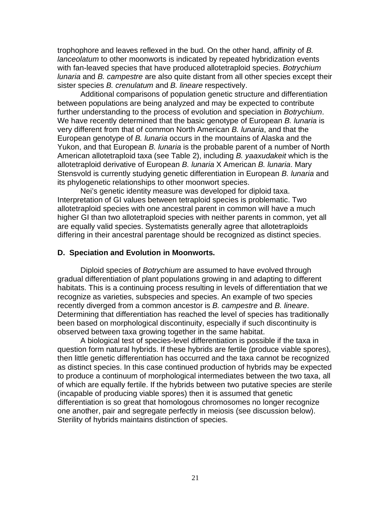trophophore and leaves reflexed in the bud. On the other hand, affinity of *B. lanceolatum* to other moonworts is indicated by repeated hybridization events with fan-leaved species that have produced allotetraploid species. *Botrychium lunaria* and *B. campestre* are also quite distant from all other species except their sister species *B. crenulatum* and *B. lineare* respectively.

Additional comparisons of population genetic structure and differentiation between populations are being analyzed and may be expected to contribute further understanding to the process of evolution and speciation in *Botrychium*. We have recently determined that the basic genotype of European *B. lunaria* is very different from that of common North American *B. lunaria*, and that the European genotype of *B. lunaria* occurs in the mountains of Alaska and the Yukon, and that European *B. lunaria* is the probable parent of a number of North American allotetraploid taxa (see Table 2), including *B. yaaxudakeit* which is the allotetraploid derivative of European *B. lunaria* X American *B. lunaria*. Mary Stensvold is currently studying genetic differentiation in European *B. lunaria* and its phylogenetic relationships to other moonwort species.

Nei's genetic identity measure was developed for diploid taxa. Interpretation of GI values between tetraploid species is problematic. Two allotetraploid species with one ancestral parent in common will have a much higher GI than two allotetraploid species with neither parents in common, yet all are equally valid species. Systematists generally agree that allotetraploids differing in their ancestral parentage should be recognized as distinct species.

### **D. Speciation and Evolution in Moonworts.**

Diploid species of *Botrychium* are assumed to have evolved through gradual differentiation of plant populations growing in and adapting to different habitats. This is a continuing process resulting in levels of differentiation that we recognize as varieties, subspecies and species. An example of two species recently diverged from a common ancestor is *B. campestre* and *B. lineare*. Determining that differentiation has reached the level of species has traditionally been based on morphological discontinuity, especially if such discontinuity is observed between taxa growing together in the same habitat.

A biological test of species-level differentiation is possible if the taxa in question form natural hybrids. If these hybrids are fertile (produce viable spores), then little genetic differentiation has occurred and the taxa cannot be recognized as distinct species. In this case continued production of hybrids may be expected to produce a continuum of morphological intermediates between the two taxa, all of which are equally fertile. If the hybrids between two putative species are sterile (incapable of producing viable spores) then it is assumed that genetic differentiation is so great that homologous chromosomes no longer recognize one another, pair and segregate perfectly in meiosis (see discussion below). Sterility of hybrids maintains distinction of species.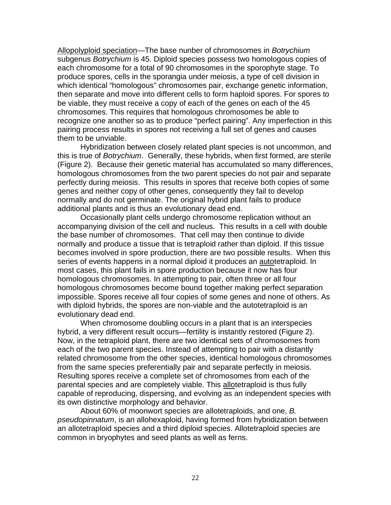Allopolyploid speciation—The base nunber of chromosomes in *Botrychium* subgenus *Botrychium* is 45. Diploid species possess two homologous copies of each chromosome for a total of 90 chromosomes in the sporophyte stage. To produce spores, cells in the sporangia under meiosis, a type of cell division in which identical "homologous" chromosomes pair, exchange genetic information, then separate and move into different cells to form haploid spores. For spores to be viable, they must receive a copy of each of the genes on each of the 45 chromosomes. This requires that homologous chromosomes be able to recognize one another so as to produce "perfect pairing". Any imperfection in this pairing process results in spores not receiving a full set of genes and causes them to be unviable.

 Hybridization between closely related plant species is not uncommon, and this is true of *Botrychium*. Generally, these hybrids, when first formed, are sterile (Figure 2). Because their genetic material has accumulated so many differences, homologous chromosomes from the two parent species do not pair and separate perfectly during meiosis. This results in spores that receive both copies of some genes and neither copy of other genes, consequently they fail to develop normally and do not germinate. The original hybrid plant fails to produce additional plants and is thus an evolutionary dead end.

Occasionally plant cells undergo chromosome replication without an accompanying division of the cell and nucleus. This results in a cell with double the base number of chromosomes. That cell may then continue to divide normally and produce a tissue that is tetraploid rather than diploid. If this tissue becomes involved in spore production, there are two possible results. When this series of events happens in a normal diploid it produces an autotetraploid. In most cases, this plant fails in spore production because it now has four homologous chromosomes. In attempting to pair, often three or all four homologous chromosomes become bound together making perfect separation impossible. Spores receive all four copies of some genes and none of others. As with diploid hybrids, the spores are non-viable and the autotetraploid is an evolutionary dead end.

When chromosome doubling occurs in a plant that is an interspecies hybrid, a very different result occurs—fertility is instantly restored (Figure 2). Now, in the tetraploid plant, there are two identical sets of chromosomes from each of the two parent species. Instead of attempting to pair with a distantly related chromosome from the other species, identical homologous chromosomes from the same species preferentially pair and separate perfectly in meiosis. Resulting spores receive a complete set of chromosomes from each of the parental species and are completely viable. This allotetraploid is thus fully capable of reproducing, dispersing, and evolving as an independent species with its own distinctive morphology and behavior.

About 60% of moonwort species are allotetraploids, and one, *B. pseudopinnatum*, is an allohexaploid, having formed from hybridization between an allotetraploid species and a third diploid species. Allotetraploid species are common in bryophytes and seed plants as well as ferns.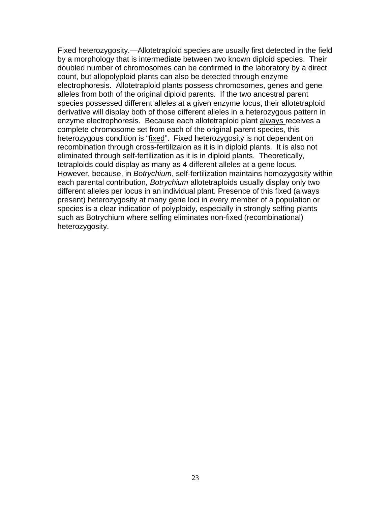Fixed heterozygosity.—Allotetraploid species are usually first detected in the field by a morphology that is intermediate between two known diploid species. Their doubled number of chromosomes can be confirmed in the laboratory by a direct count, but allopolyploid plants can also be detected through enzyme electrophoresis. Allotetraploid plants possess chromosomes, genes and gene alleles from both of the original diploid parents. If the two ancestral parent species possessed different alleles at a given enzyme locus, their allotetraploid derivative will display both of those different alleles in a heterozygous pattern in enzyme electrophoresis. Because each allotetraploid plant always receives a complete chromosome set from each of the original parent species, this heterozygous condition is "*fixed*". Fixed heterozygosity is not dependent on recombination through cross-fertilizaion as it is in diploid plants. It is also not eliminated through self-fertilization as it is in diploid plants. Theoretically, tetraploids could display as many as 4 different alleles at a gene locus. However, because, in *Botrychium*, self-fertilization maintains homozygosity within each parental contribution, *Botrychium* allotetraploids usually display only two different alleles per locus in an individual plant. Presence of this fixed (always present) heterozygosity at many gene loci in every member of a population or species is a clear indication of polyploidy, especially in strongly selfing plants such as Botrychium where selfing eliminates non-fixed (recombinational) heterozygosity.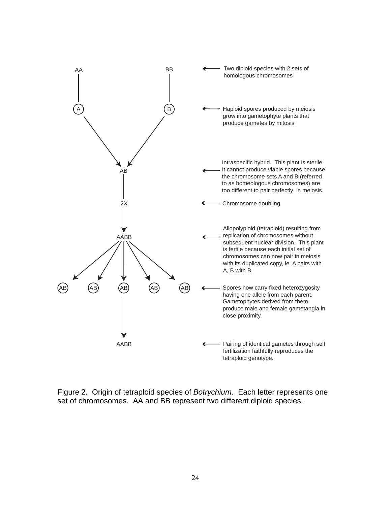

Figure 2. Origin of tetraploid species of *Botrychium*. Each letter represents one set of chromosomes. AA and BB represent two different diploid species.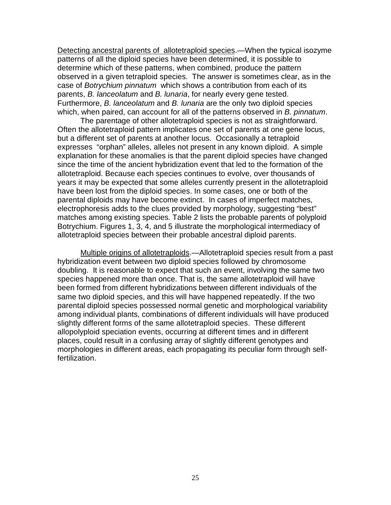Detecting ancestral parents of allotetraploid species.—When the typical isozyme patterns of all the diploid species have been determined, it is possible to determine which of these patterns, when combined, produce the pattern observed in a given tetraploid species. The answer is sometimes clear, as in the case of *Botrychium pinnatum* which shows a contribution from each of its parents, *B. lanceolatum* and *B. lunaria*, for nearly every gene tested. Furthermore, *B. lanceolatum* and *B. lunaria* are the only two diploid species which, when paired, can account for all of the patterns observed in *B. pinnatum*.

 The parentage of other allotetraploid species is not as straightforward. Often the allotetraploid pattern implicates one set of parents at one gene locus, but a different set of parents at another locus. Occasionally a tetraploid expresses "orphan" alleles, alleles not present in any known diploid. A simple explanation for these anomalies is that the parent diploid species have changed since the time of the ancient hybridization event that led to the formation of the allotetraploid. Because each species continues to evolve, over thousands of years it may be expected that some alleles currently present in the allotetraploid have been lost from the diploid species. In some cases, one or both of the parental diploids may have become extinct. In cases of imperfect matches, electrophoresis adds to the clues provided by morphology, suggesting "best" matches among existing species. Table 2 lists the probable parents of polyploid Botrychium. Figures 1, 3, 4, and 5 illustrate the morphological intermediacy of allotetraploid species between their probable ancestral diploid parents.

Multiple origins of allotetraploids.—Allotetraploid species result from a past hybridization event between two diploid species followed by chromosome doubling. It is reasonable to expect that such an event, involving the same two species happened more than once. That is, the same allotetraploid will have been formed from different hybridizations between different individuals of the same two diploid species, and this will have happened repeatedly. If the two parental diploid species possessed normal genetic and morphological variability among individual plants, combinations of different individuals will have produced slightly different forms of the same allotetraploid species. These different allopolyploid speciation events, occurring at different times and in different places, could result in a confusing array of slightly different genotypes and morphologies in different areas, each propagating its peculiar form through selffertilization.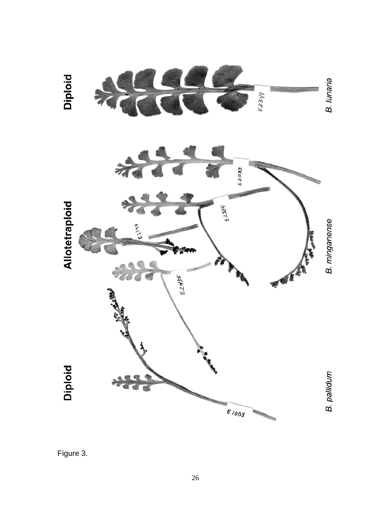

Figure 3.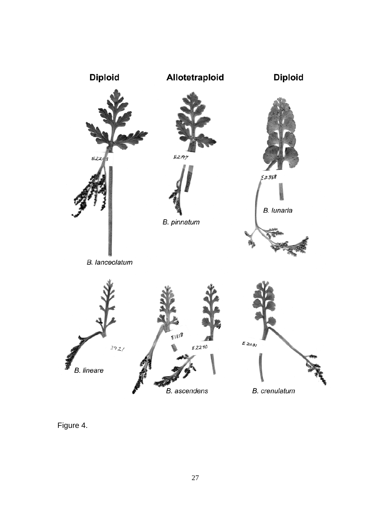

Figure 4.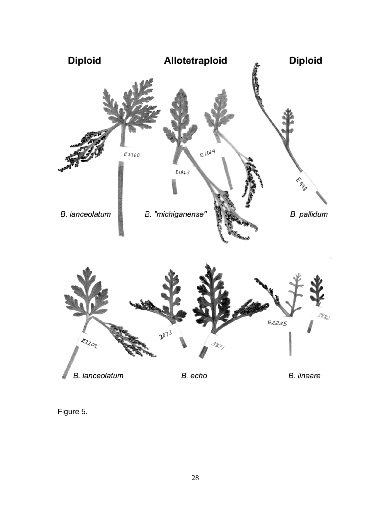

Figure 5.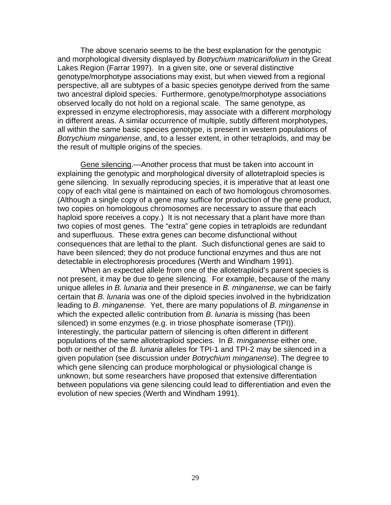The above scenario seems to be the best explanation for the genotypic and morphological diversity displayed by *Botrychium matricariifolium* in the Great Lakes Region (Farrar 1997). In a given site, one or several distinctive genotype/morphotype associations may exist, but when viewed from a regional perspective, all are subtypes of a basic species genotype derived from the same two ancestral diploid species. Furthermore, genotype/morphotype associations observed locally do not hold on a regional scale. The same genotype, as expressed in enzyme electrophoresis, may associate with a different morphology in different areas. A similar occurrence of multiple, subtly different morphotypes, all within the same basic species genotype, is present in western populations of *Botrychium minganense*, and, to a lesser extent, in other tetraploids, and may be the result of multiple origins of the species.

Gene silencing.—Another process that must be taken into account in explaining the genotypic and morphological diversity of allotetraploid species is gene silencing. In sexually reproducing species, it is imperative that at least one copy of each vital gene is maintained on each of two homologous chromosomes. (Although a single copy of a gene may suffice for production of the gene product, two copies on homologous chromosomes are necessary to assure that each haploid spore receives a copy.) It is not necessary that a plant have more than two copies of most genes. The "extra" gene copies in tetraploids are redundant and superfluous. These extra genes can become disfunctional without consequences that are lethal to the plant. Such disfunctional genes are said to have been silenced; they do not produce functional enzymes and thus are not detectable in electrophoresis procedures (Werth and Windham 1991).

 When an expected allele from one of the allotetraploid's parent species is not present, it may be due to gene silencing. For example, because of the many unique alleles in *B. lunaria* and their presence in *B. minganense*, we can be fairly certain that *B. lunaria* was one of the diploid species involved in the hybridization leading to *B. minganense*. Yet, there are many populations of *B. minganense* in which the expected allelic contribution from *B. lunaria* is missing (has been silenced) in some enzymes (e.g. in triose phosphate isomerase (TPI)). Interestingly, the particular pattern of silencing is often different in different populations of the same allotetraploid species. In *B. minganense* either one, both or neither of the *B. lunaria* alleles for TPI-1 and TPI-2 may be silenced in a given population (see discussion under *Botrychium minganense*). The degree to which gene silencing can produce morphological or physiological change is unknown, but some researchers have proposed that extensive differentiation between populations via gene silencing could lead to differentiation and even the evolution of new species (Werth and Windham 1991).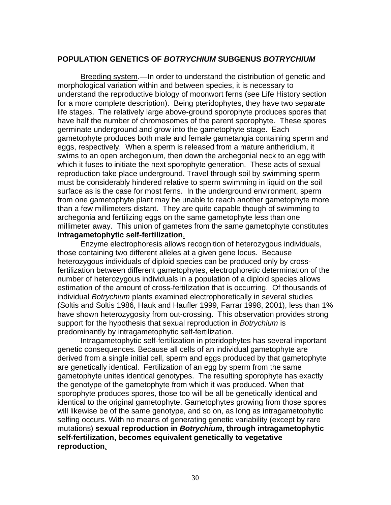### **POPULATION GENETICS OF** *BOTRYCHIUM* **SUBGENUS** *BOTRYCHIUM*

Breeding system.—In order to understand the distribution of genetic and morphological variation within and between species, it is necessary to understand the reproductive biology of moonwort ferns (see Life History section for a more complete description). Being pteridophytes, they have two separate life stages. The relatively large above-ground sporophyte produces spores that have half the number of chromosomes of the parent sporophyte. These spores germinate underground and grow into the gametophyte stage. Each gametophyte produces both male and female gametangia containing sperm and eggs, respectively. When a sperm is released from a mature antheridium, it swims to an open archegonium, then down the archegonial neck to an egg with which it fuses to initiate the next sporophyte generation. These acts of sexual reproduction take place underground. Travel through soil by swimming sperm must be considerably hindered relative to sperm swimming in liquid on the soil surface as is the case for most ferns. In the underground environment, sperm from one gametophyte plant may be unable to reach another gametophyte more than a few millimeters distant. They are quite capable though of swimming to archegonia and fertilizing eggs on the same gametophyte less than one millimeter away. This union of gametes from the same gametophyte constitutes **intragametophytic self-fertilization**.

Enzyme electrophoresis allows recognition of heterozygous individuals, those containing two different alleles at a given gene locus. Because heterozygous individuals of diploid species can be produced only by crossfertilization between different gametophytes, electrophoretic determination of the number of heterozygous individuals in a population of a diploid species allows estimation of the amount of cross-fertilization that is occurring. Of thousands of individual *Botrychium* plants examined electrophoretically in several studies (Soltis and Soltis 1986, Hauk and Haufler 1999, Farrar 1998, 2001), less than 1% have shown heterozygosity from out-crossing. This observation provides strong support for the hypothesis that sexual reproduction in *Botrychium* is predominantly by intragametophytic self-fertilization.

Intragametophytic self-fertilization in pteridophytes has several important genetic consequences. Because all cells of an individual gametophyte are derived from a single initial cell, sperm and eggs produced by that gametophyte are genetically identical. Fertilization of an egg by sperm from the same gametophyte unites identical genotypes. The resulting sporophyte has exactly the genotype of the gametophyte from which it was produced. When that sporophyte produces spores, those too will be all be genetically identical and identical to the original gametophyte. Gametophytes growing from those spores will likewise be of the same genotype, and so on, as long as intragametophytic selfing occurs. With no means of generating genetic variability (except by rare mutations) **sexual reproduction in** *Botrychium***, through intragametophytic self-fertilization, becomes equivalent genetically to vegetative reproduction**.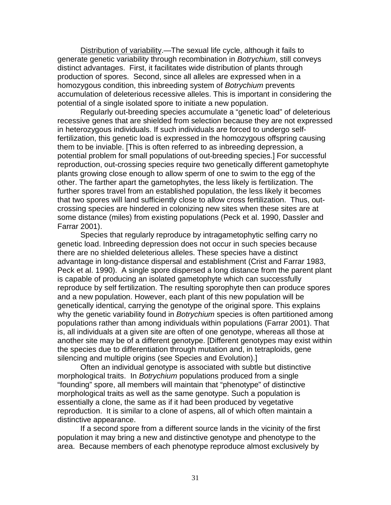Distribution of variability.—The sexual life cycle, although it fails to generate genetic variability through recombination in *Botrychium*, still conveys distinct advantages. First, it facilitates wide distribution of plants through production of spores. Second, since all alleles are expressed when in a homozygous condition, this inbreeding system of *Botrychium* prevents accumulation of deleterious recessive alleles. This is important in considering the potential of a single isolated spore to initiate a new population.

Regularly out-breeding species accumulate a "genetic load" of deleterious recessive genes that are shielded from selection because they are not expressed in heterozygous individuals. If such individuals are forced to undergo selffertilization, this genetic load is expressed in the homozygous offspring causing them to be inviable. [This is often referred to as inbreeding depression, a potential problem for small populations of out-breeding species.] For successful reproduction, out-crossing species require two genetically different gametophyte plants growing close enough to allow sperm of one to swim to the egg of the other. The farther apart the gametophytes, the less likely is fertilization. The further spores travel from an established population, the less likely it becomes that two spores will land sufficiently close to allow cross fertilization. Thus, outcrossing species are hindered in colonizing new sites when these sites are at some distance (miles) from existing populations (Peck et al. 1990, Dassler and Farrar 2001).

 Species that regularly reproduce by intragametophytic selfing carry no genetic load. Inbreeding depression does not occur in such species because there are no shielded deleterious alleles. These species have a distinct advantage in long-distance dispersal and establishment (Crist and Farrar 1983, Peck et al. 1990). A single spore dispersed a long distance from the parent plant is capable of producing an isolated gametophyte which can successfully reproduce by self fertilization. The resulting sporophyte then can produce spores and a new population. However, each plant of this new population will be genetically identical, carrying the genotype of the original spore. This explains why the genetic variability found in *Botrychium* species is often partitioned among populations rather than among individuals within populations (Farrar 2001). That is, all individuals at a given site are often of one genotype, whereas all those at another site may be of a different genotype. [Different genotypes may exist within the species due to differentiation through mutation and, in tetraploids, gene silencing and multiple origins (see Species and Evolution).]

 Often an individual genotype is associated with subtle but distinctive morphological traits. In *Botrychium* populations produced from a single "founding" spore, all members will maintain that "phenotype" of distinctive morphological traits as well as the same genotype. Such a population is essentially a clone, the same as if it had been produced by vegetative reproduction. It is similar to a clone of aspens, all of which often maintain a distinctive appearance.

 If a second spore from a different source lands in the vicinity of the first population it may bring a new and distinctive genotype and phenotype to the area. Because members of each phenotype reproduce almost exclusively by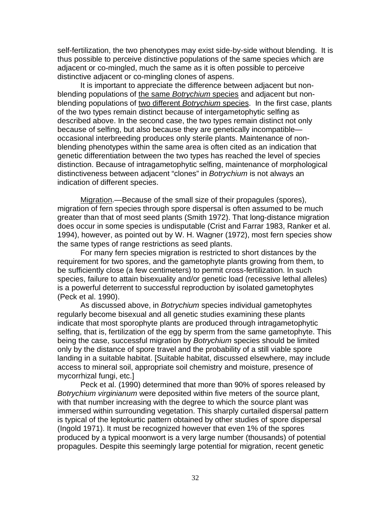self-fertilization, the two phenotypes may exist side-by-side without blending. It is thus possible to perceive distinctive populations of the same species which are adjacent or co-mingled, much the same as it is often possible to perceive distinctive adjacent or co-mingling clones of aspens.

 It is important to appreciate the difference between adjacent but nonblending populations of the same *Botrychium* species and adjacent but nonblending populations of two different *Botrychium* species. In the first case, plants of the two types remain distinct because of intergametophytic selfing as described above. In the second case, the two types remain distinct not only because of selfing, but also because they are genetically incompatible occasional interbreeding produces only sterile plants. Maintenance of nonblending phenotypes within the same area is often cited as an indication that genetic differentiation between the two types has reached the level of species distinction. Because of intragametophytic selfing, maintenance of morphological distinctiveness between adjacent "clones" in *Botrychium* is not always an indication of different species.

Migration.—Because of the small size of their propagules (spores), migration of fern species through spore dispersal is often assumed to be much greater than that of most seed plants (Smith 1972). That long-distance migration does occur in some species is undisputable (Crist and Farrar 1983, Ranker et al. 1994), however, as pointed out by W. H. Wagner (1972), most fern species show the same types of range restrictions as seed plants.

For many fern species migration is restricted to short distances by the requirement for two spores, and the gametophyte plants growing from them, to be sufficiently close (a few centimeters) to permit cross-fertilization. In such species, failure to attain bisexuality and/or genetic load (recessive lethal alleles) is a powerful deterrent to successful reproduction by isolated gametophytes (Peck et al. 1990).

As discussed above, in *Botrychium* species individual gametophytes regularly become bisexual and all genetic studies examining these plants indicate that most sporophyte plants are produced through intragametophytic selfing, that is, fertilization of the egg by sperm from the same gametophyte. This being the case, successful migration by *Botrychium* species should be limited only by the distance of spore travel and the probability of a still viable spore landing in a suitable habitat. [Suitable habitat, discussed elsewhere, may include access to mineral soil, appropriate soil chemistry and moisture, presence of mycorrhizal fungi, etc.]

Peck et al. (1990) determined that more than 90% of spores released by *Botrychium virginianum* were deposited within five meters of the source plant, with that number increasing with the degree to which the source plant was immersed within surrounding vegetation. This sharply curtailed dispersal pattern is typical of the leptokurtic pattern obtained by other studies of spore dispersal (Ingold 1971). It must be recognized however that even 1% of the spores produced by a typical moonwort is a very large number (thousands) of potential propagules. Despite this seemingly large potential for migration, recent genetic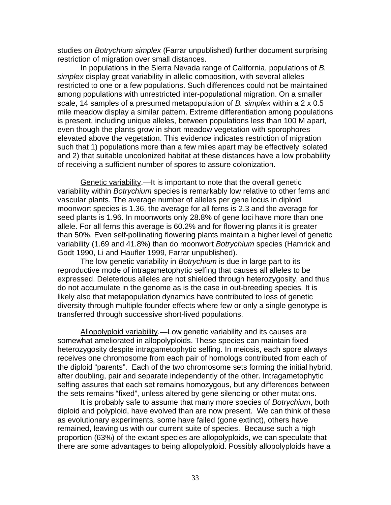studies on *Botrychium simplex* (Farrar unpublished) further document surprising restriction of migration over small distances.

In populations in the Sierra Nevada range of California, populations of *B. simplex* display great variability in allelic composition, with several alleles restricted to one or a few populations. Such differences could not be maintained among populations with unrestricted inter-populational migration. On a smaller scale, 14 samples of a presumed metapopulation of *B. simplex* within a 2 x 0.5 mile meadow display a similar pattern. Extreme differentiation among populations is present, including unique alleles, between populations less than 100 M apart, even though the plants grow in short meadow vegetation with sporophores elevated above the vegetation. This evidence indicates restriction of migration such that 1) populations more than a few miles apart may be effectively isolated and 2) that suitable uncolonized habitat at these distances have a low probability of receiving a sufficient number of spores to assure colonization.

 Genetic variability.—It is important to note that the overall genetic variability within *Botrychium* species is remarkably low relative to other ferns and vascular plants. The average number of alleles per gene locus in diploid moonwort species is 1.36, the average for all ferns is 2.3 and the average for seed plants is 1.96. In moonworts only 28.8% of gene loci have more than one allele. For all ferns this average is 60.2% and for flowering plants it is greater than 50%. Even self-pollinating flowering plants maintain a higher level of genetic variability (1.69 and 41.8%) than do moonwort *Botrychium* species (Hamrick and Godt 1990, Li and Haufler 1999, Farrar unpublished).

The low genetic variability in *Botrychium* is due in large part to its reproductive mode of intragametophytic selfing that causes all alleles to be expressed. Deleterious alleles are not shielded through heterozygosity, and thus do not accumulate in the genome as is the case in out-breeding species. It is likely also that metapopulation dynamics have contributed to loss of genetic diversity through multiple founder effects where few or only a single genotype is transferred through successive short-lived populations.

 Allopolyploid variability.—Low genetic variability and its causes are somewhat ameliorated in allopolyploids. These species can maintain fixed heterozygosity despite intragametophytic selfing. In meiosis, each spore always receives one chromosome from each pair of homologs contributed from each of the diploid "parents". Each of the two chromosome sets forming the initial hybrid, after doubling, pair and separate independently of the other. Intragametophytic selfing assures that each set remains homozygous, but any differences between the sets remains "fixed", unless altered by gene silencing or other mutations.

It is probably safe to assume that many more species of *Botrychium*, both diploid and polyploid, have evolved than are now present. We can think of these as evolutionary experiments, some have failed (gone extinct), others have remained, leaving us with our current suite of species. Because such a high proportion (63%) of the extant species are allopolyploids, we can speculate that there are some advantages to being allopolyploid. Possibly allopolyploids have a